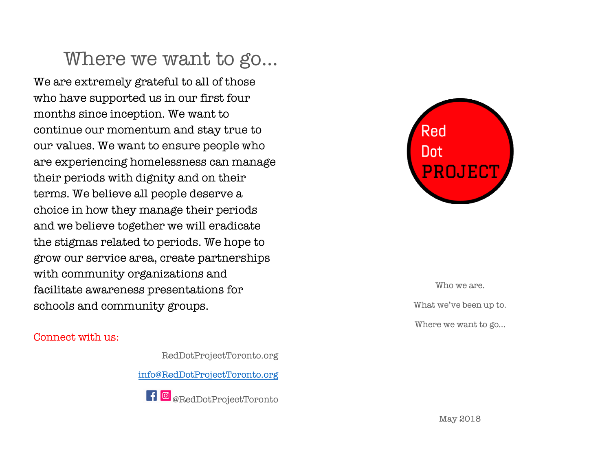## Where we want to go…

We are extremely grateful to all of those who have supported us in our first four months since inception. We want to continue our momentum and stay true to our values. We want to ensure people who are experiencing homelessness can manage their periods with dignity and on their terms. We believe all people deserve a choice in how they manage their periods and we believe together we will eradicate the stigmas related to periods. We hope to grow our service area, create partnerships with community organizations and facilitate awareness presentations for schools and community groups.

#### Connect with us:

RedDotProjectToronto.org

info@RedDotProjectToronto.org

**f @**<sub>@RedDotProjectToronto</sub>



Who we are. What we've been up to. Where we want to go…

May 2018